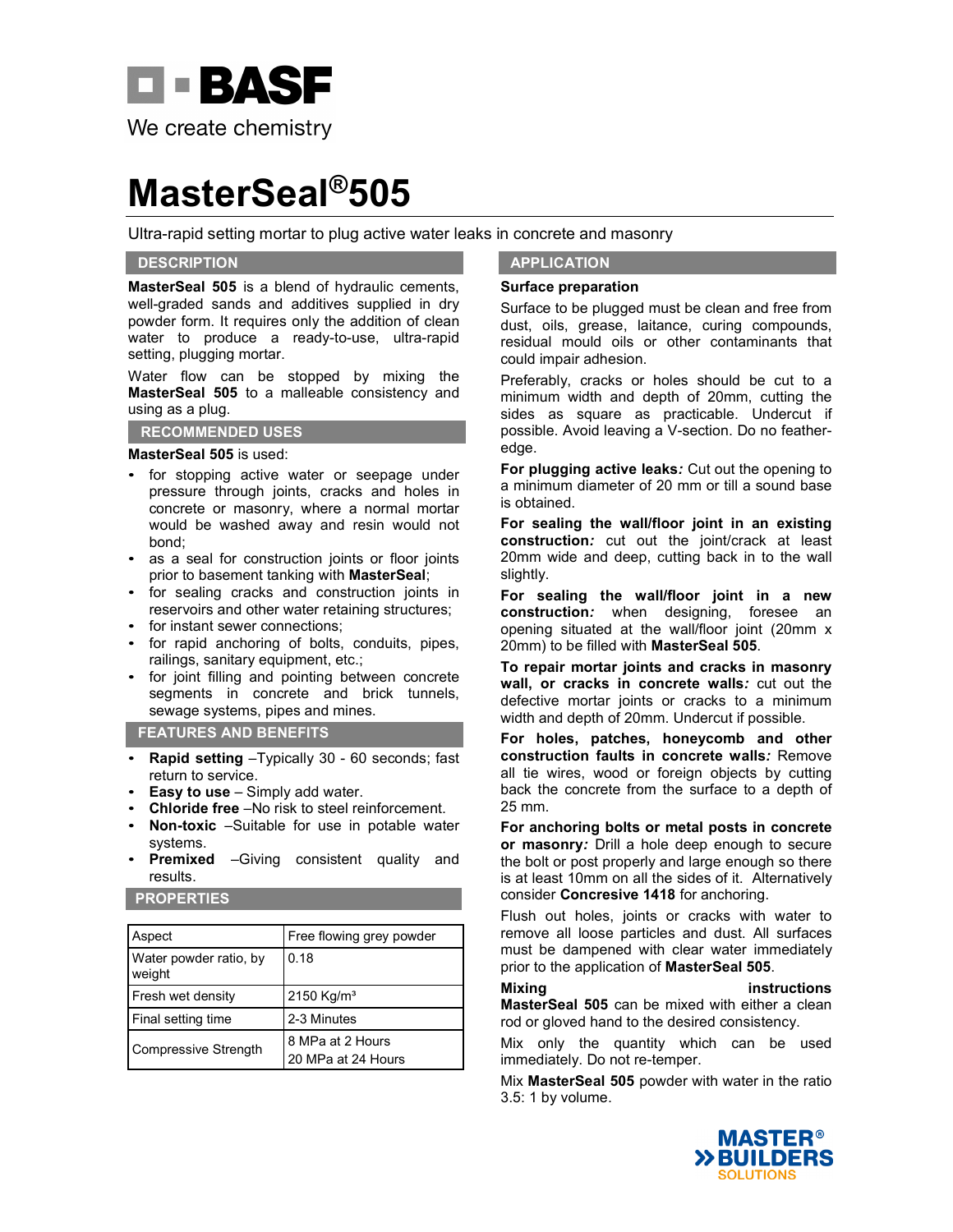

# **MasterSeal®505**

Ultra-rapid setting mortar to plug active water leaks in concrete and masonry

# **DESCRIPTION**

**MasterSeal 505** is a blend of hydraulic cements, well-graded sands and additives supplied in dry powder form. It requires only the addition of clean water to produce a ready-to-use, ultra-rapid setting, plugging mortar.

Water flow can be stopped by mixing the **MasterSeal 505** to a malleable consistency and using as a plug.

### **RECOMMENDED USES**

### **MasterSeal 505** is used:

- for stopping active water or seepage under pressure through joints, cracks and holes in concrete or masonry, where a normal mortar would be washed away and resin would not bond;
- as a seal for construction joints or floor joints prior to basement tanking with **MasterSeal**;
- for sealing cracks and construction joints in reservoirs and other water retaining structures;
- for instant sewer connections;
- for rapid anchoring of bolts, conduits, pipes, railings, sanitary equipment, etc.;
- for joint filling and pointing between concrete segments in concrete and brick tunnels, sewage systems, pipes and mines.

## **FEATURES AND BENEFITS**

- **Rapid setting** –Typically 30 60 seconds; fast return to service.
- **Easy to use**  Simply add water.
- **Chloride free** No risk to steel reinforcement.
- **Non-toxic** –Suitable for use in potable water systems.
- **Premixed** –Giving consistent quality and results.

# **PROPERTIES**

| Aspect                           | Free flowing grey powder               |
|----------------------------------|----------------------------------------|
| Water powder ratio, by<br>weight | 0.18                                   |
| Fresh wet density                | 2150 Kg/m <sup>3</sup>                 |
| Final setting time               | 2-3 Minutes                            |
| Compressive Strength             | 8 MPa at 2 Hours<br>20 MPa at 24 Hours |

## **APPLICATION**

### **Surface preparation**

Surface to be plugged must be clean and free from dust, oils, grease, laitance, curing compounds, residual mould oils or other contaminants that could impair adhesion.

Preferably, cracks or holes should be cut to a minimum width and depth of 20mm, cutting the sides as square as practicable. Undercut if possible. Avoid leaving a V-section. Do no featheredge.

**For plugging active leaks***:* Cut out the opening to a minimum diameter of 20 mm or till a sound base is obtained.

**For sealing the wall/floor joint in an existing construction***:* cut out the joint/crack at least 20mm wide and deep, cutting back in to the wall slightly.

**For sealing the wall/floor joint in a new construction***:* when designing, foresee an opening situated at the wall/floor joint (20mm x 20mm) to be filled with **MasterSeal 505**.

**To repair mortar joints and cracks in masonry wall, or cracks in concrete walls***:* cut out the defective mortar joints or cracks to a minimum width and depth of 20mm. Undercut if possible.

**For holes, patches, honeycomb and other construction faults in concrete walls***:* Remove all tie wires, wood or foreign objects by cutting back the concrete from the surface to a depth of 25 mm.

**For anchoring bolts or metal posts in concrete or masonry***:* Drill a hole deep enough to secure the bolt or post properly and large enough so there is at least 10mm on all the sides of it. Alternatively consider **Concresive 1418** for anchoring.

Flush out holes, joints or cracks with water to remove all loose particles and dust. All surfaces must be dampened with clear water immediately prior to the application of **MasterSeal 505**.

### **Mixing instructions**

**MasterSeal 505** can be mixed with either a clean rod or gloved hand to the desired consistency.

Mix only the quantity which can be used immediately. Do not re-temper.

Mix **MasterSeal 505** powder with water in the ratio 3.5: 1 by volume.